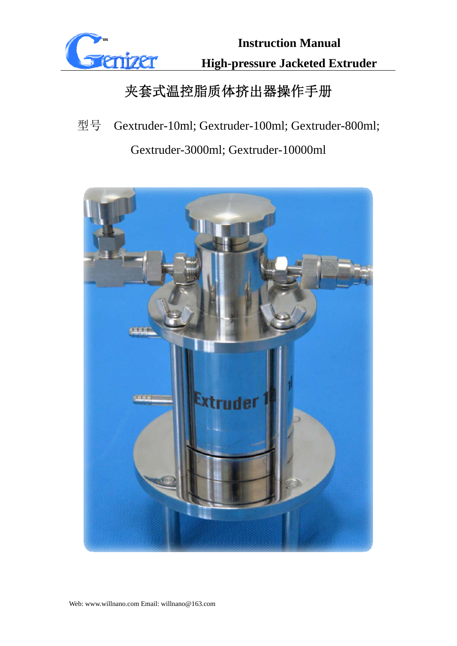

# 夹套式温控脂质体挤出器操作手册

型号 Gextruder-10ml; Gextruder-100ml; Gextruder-800ml;

Gextruder-3000ml; Gextruder-10000ml

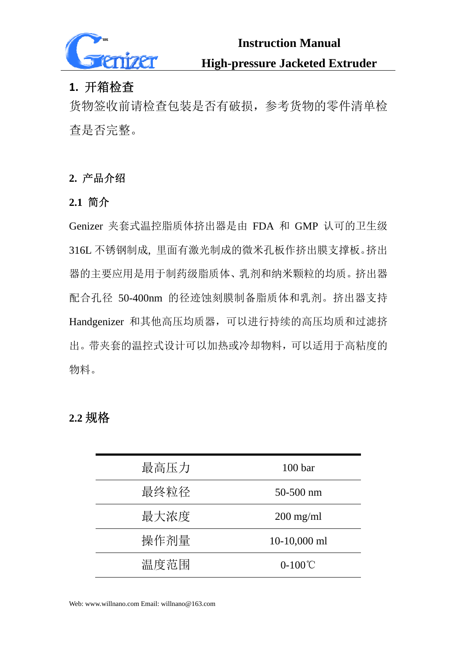

### **1.** 开箱检查

货物签收前请检查包装是否有破损,参考货物的零件清单检 查是否完整。

### **2.** 产品介绍

### **2.1** 简介

Genizer 夹套式温控脂质体挤出器是由 FDA 和 GMP 认可的卫生级 316L 不锈钢制成, 里面有激光制成的微米孔板作挤出膜支撑板。挤出 器的主要应用是用于制药级脂质体、乳剂和纳米颗粒的均质。挤出器 配合孔径 50-400nm 的径迹蚀刻膜制备脂质体和乳剂。挤出器支持 Handgenizer 和其他高压均质器,可以进行持续的高压均质和过滤挤 出。带夹套的温控式设计可以加热或冷却物料,可以适用于高粘度的 物料。

### **2.2** 规格

| 最高压力 | 100 <sub>bar</sub> |
|------|--------------------|
| 最终粒径 | $50 - 500$ nm      |
| 最大浓度 | $200$ mg/ml        |
| 操作剂量 | $10-10,000$ ml     |
| 温度范围 | $0-100^{\circ}$ C  |

Web: www.willnano.com Email: willnano@163.com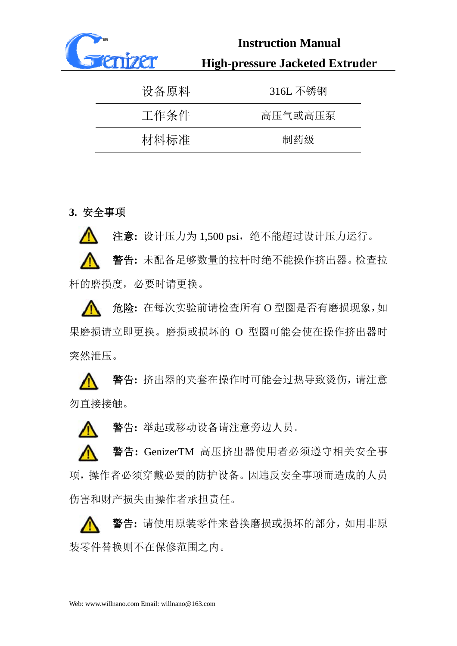

| 设备原料 | 316L 不锈钢 |
|------|----------|
| 工作条件 | 高压气或高压泵  |
| 材料标准 | 制药级      |

### **3.** 安全事项

注意**:** 设计压力为 1,500 psi,绝不能超过设计压力运行。 警告**:** 未配备足够数量的拉杆时绝不能操作挤出器。检查拉 杆的磨损度,必要时请更换。

危险**:** 在每次实验前请检查所有 O 型圈是否有磨损现象,如  $\mathbb{A}$ 果磨损请立即更换。磨损或损坏的 O 型圈可能会使在操作挤出器时 突然泄压。

警告**:** 挤出器的夹套在操作时可能会过热导致烫伤,请注意 勿直接接触。

警告**:** 举起或移动设备请注意旁边人员。

警告**:** GenizerTM 高压挤出器使用者必须遵守相关安全事 项,操作者必须穿戴必要的防护设备。因违反安全事项而造成的人员 伤害和财产损失由操作者承担责任。

警告**:** 请使用原装零件来替换磨损或损坏的部分,如用非原 装零件替换则不在保修范围之内。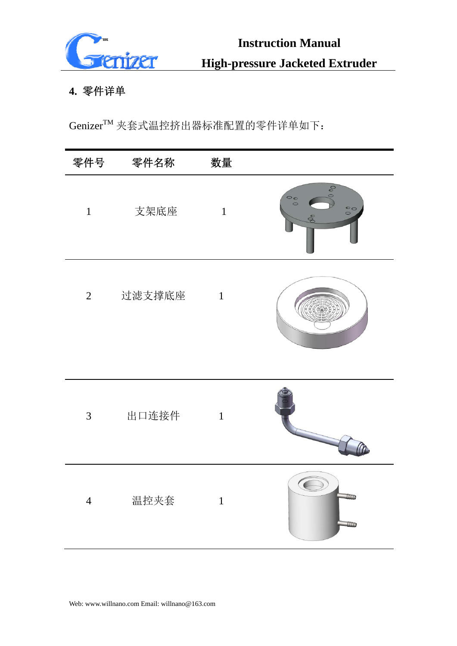

### **4.** 零件详单

GenizerTM 夹套式温控挤出器标准配置的零件详单如下:

| 零件号            | 零件名称   | 数量             |                                                                        |
|----------------|--------|----------------|------------------------------------------------------------------------|
| $\mathbf{1}$   | 支架底座   | $\mathbf{1}$   | $\mathcal{O}_{\mathcal{O}}$<br>$\circ$<br>$\circ$<br>$\tilde{\varphi}$ |
| $\overline{2}$ | 过滤支撑底座 | $\overline{1}$ |                                                                        |
| 3              | 出口连接件  | $\mathbf{1}$   |                                                                        |
| $\overline{4}$ | 温控夹套   | $\mathbf{1}$   |                                                                        |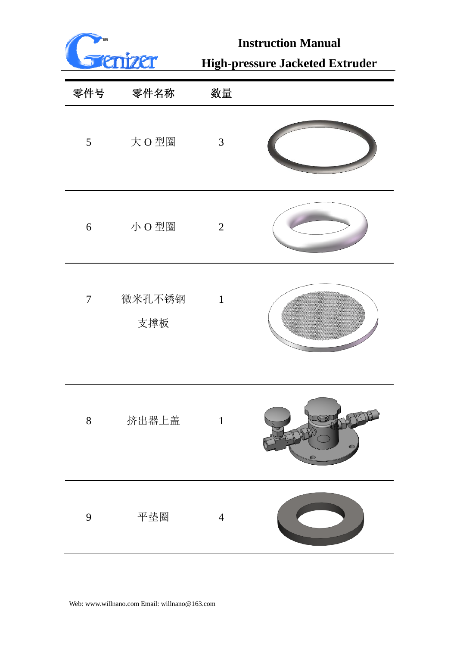

# **Instruction Manual**

# **High-pressure Jacketed Extruder**

| 零件号              | 零件名称          | 数量             |  |
|------------------|---------------|----------------|--|
| $5\overline{)}$  | 大O型圈          | $\mathfrak{Z}$ |  |
| $\boldsymbol{6}$ | 小O型圈          | $\overline{2}$ |  |
| $\overline{7}$   | 微米孔不锈钢<br>支撑板 | $\mathbf{1}$   |  |
| $8\,$            | 挤出器上盖         |                |  |
| 9                | 平垫圈           | $\overline{4}$ |  |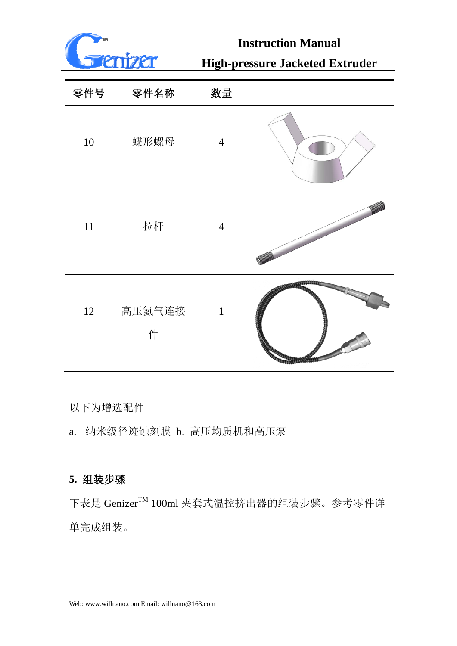

## **Instruction Manual**

# **High-pressure Jacketed Extruder**

| 零件号    | 零件名称        | 数量             |  |
|--------|-------------|----------------|--|
| $10\,$ | 蝶形螺母        | $\overline{4}$ |  |
| 11     | 拉杆          | $\overline{4}$ |  |
| 12     | 高压氮气连接<br>件 | $\mathbf{1}$   |  |

以下为增选配件

a. 纳米级径迹蚀刻膜 b. 高压均质机和高压泵

### **5.** 组装步骤

下表是 Genizer™ 100ml 夹套式温控挤出器的组装步骤。参考零件详 单完成组装。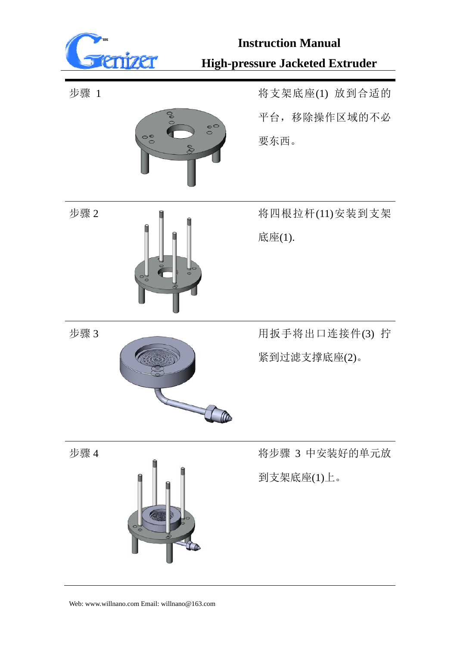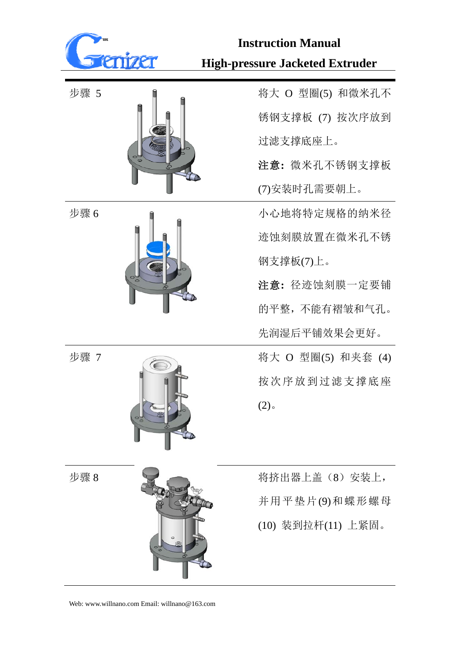

步骤 5 将大 O 型圈(5) 和微米孔不 锈钢支撑板 (7) 按次序放到 过滤支撑底座上。

> 注意**:** 微米孔不锈钢支撑板 (7)安装时孔需要朝上。

步骤 6 小心地将特定规格的纳米径 迹蚀刻膜放置在微米孔不锈 钢支撑板(7)上。

> 注意**:** 径迹蚀刻膜一定要铺 的平整,不能有褶皱和气孔。 先润湿后平铺效果会更好。

| 步骤 7 | 将大 O 型圈(5) 和夹套 (4) |
|------|--------------------|
|      | 按次序放到过滤支撑底座        |
|      | 2)                 |

步骤 8 将挤出器上盖(8)安装上, 并用平垫片(9)和蝶形螺母 (10) 装到拉杆(11) 上紧固。







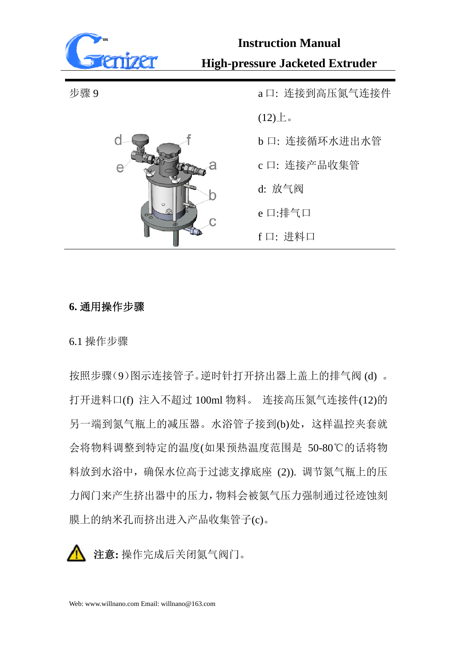



步骤 9 **budge at the control of the control of the control of the control of the control of the control of the control of the control of the control of the control of the control of the control of the control of the control**  $(12)$  $\pm$ . b 口: 连接循环水进出水管 c 口: 连接产品收集管 d: 放气阀 e 口:排气口 f 口: 进料口

#### **6.** 通用操作步骤

6.1 操作步骤

按照步骤(9)图示连接管子。逆时针打开挤出器上盖上的排气阀 (d) 。 打开进料口(f) 注入不超过 100ml 物料。 连接高压氮气连接件(12)的 另一端到氮气瓶上的减压器。水浴管子接到(b)处,这样温控夹套就 会将物料调整到特定的温度(如果预热温度范围是 50-80℃的话将物 料放到水浴中,确保水位高于过滤支撑底座 (2)). 调节氮气瓶上的压 力阀门来产生挤出器中的压力,物料会被氮气压力强制通过径迹蚀刻 膜上的纳米孔而挤出进入产品收集管子(c)。

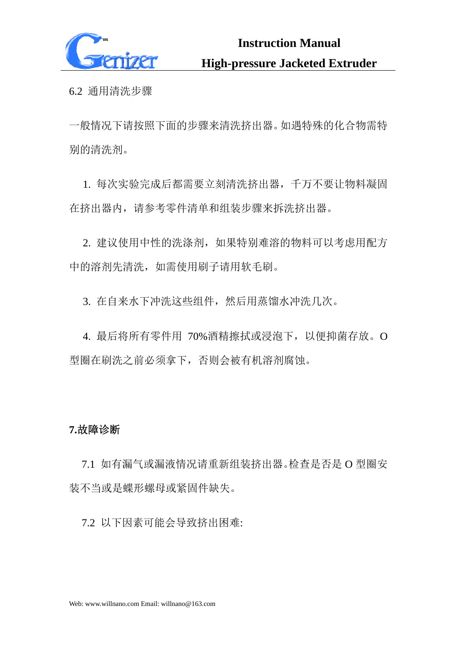

6.2 通用清洗步骤

一般情况下请按照下面的步骤来清洗挤出器。如遇特殊的化合物需特 别的清洗剂。

1. 每次实验完成后都需要立刻清洗挤出器,千万不要让物料凝固 在挤出器内,请参考零件清单和组装步骤来拆洗挤出器。

2. 建议使用中性的洗涤剂,如果特别难溶的物料可以考虑用配方 中的溶剂先清洗,如需使用刷子请用软毛刷。

3. 在自来水下冲洗这些组件,然后用蒸馏水冲洗几次。

4. 最后将所有零件用 70%酒精擦拭或浸泡下,以便抑菌存放。O 型圈在刷洗之前必须拿下,否则会被有机溶剂腐蚀。

#### **7.**故障诊断

7.1 如有漏气或漏液情况请重新组装挤出器。检查是否是 O 型圈安 装不当或是蝶形螺母或紧固件缺失。

7.2 以下因素可能会导致挤出困难: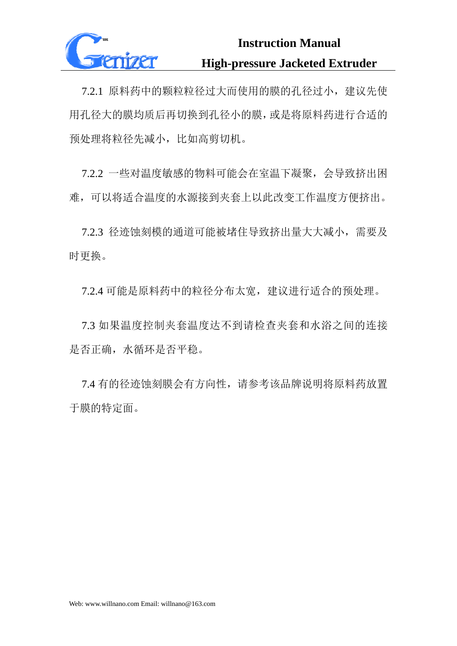

7.2.1 原料药中的颗粒粒径过大而使用的膜的孔径过小,建议先使 用孔径大的膜均质后再切换到孔径小的膜,或是将原料药进行合适的 预处理将粒径先减小,比如高剪切机。

7.2.2 一些对温度敏感的物料可能会在室温下凝聚,会导致挤出困 难,可以将适合温度的水源接到夹套上以此改变工作温度方便挤出。

7.2.3 径迹蚀刻模的通道可能被堵住导致挤出量大大减小,需要及 时更换。

7.2.4 可能是原料药中的粒径分布太宽,建议进行适合的预处理。

7.3 如果温度控制夹套温度达不到请检查夹套和水浴之间的连接 是否正确,水循环是否平稳。

7.4 有的径迹蚀刻膜会有方向性,请参考该品牌说明将原料药放置 于膜的特定面。